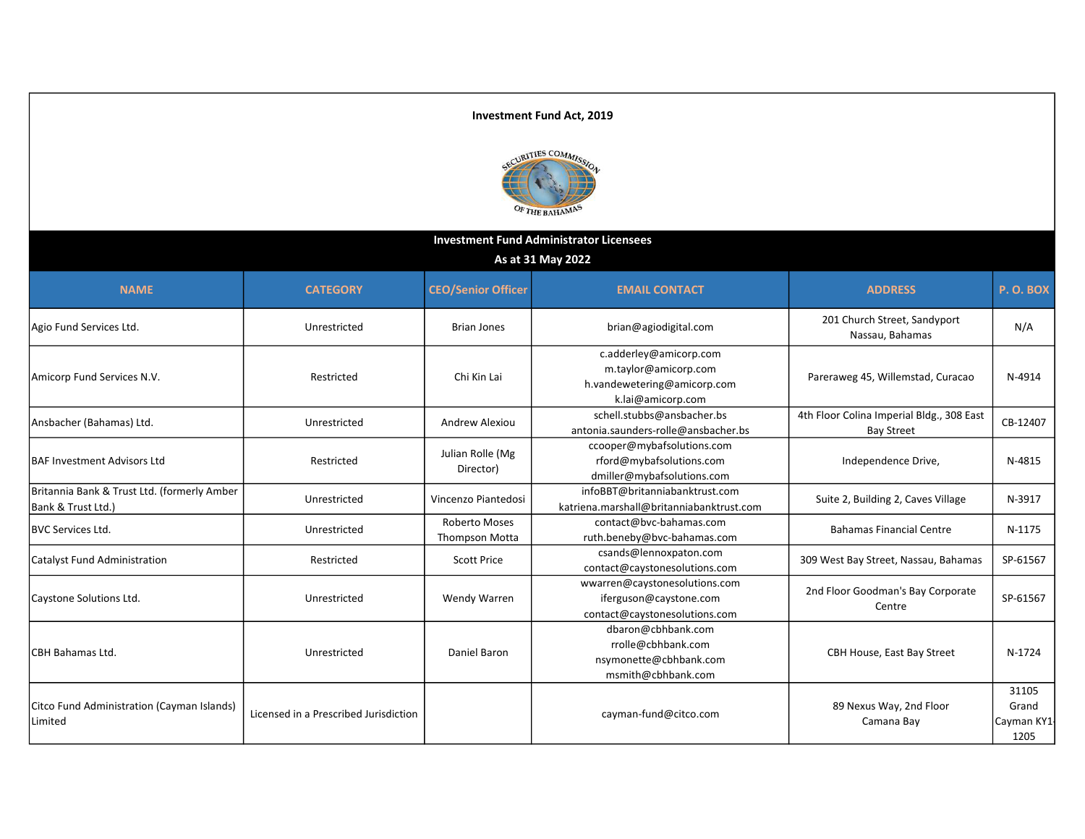

| <b>Investment Fund Administrator Licensees</b>                    |                                       |                                               |                                                                                                    |                                                                |                                      |  |  |
|-------------------------------------------------------------------|---------------------------------------|-----------------------------------------------|----------------------------------------------------------------------------------------------------|----------------------------------------------------------------|--------------------------------------|--|--|
| As at 31 May 2022                                                 |                                       |                                               |                                                                                                    |                                                                |                                      |  |  |
| <b>NAME</b>                                                       | <b>CATEGORY</b>                       | <b>CEO/Senior Officer</b>                     | <b>EMAIL CONTACT</b>                                                                               | <b>ADDRESS</b>                                                 | <b>P.O.BOX</b>                       |  |  |
| Agio Fund Services Ltd.                                           | Unrestricted                          | <b>Brian Jones</b>                            | brian@agiodigital.com                                                                              | 201 Church Street, Sandyport<br>Nassau, Bahamas                | N/A                                  |  |  |
| Amicorp Fund Services N.V.                                        | Restricted                            | Chi Kin Lai                                   | c.adderley@amicorp.com<br>m.taylor@amicorp.com<br>h.vandewetering@amicorp.com<br>k.lai@amicorp.com | Pareraweg 45, Willemstad, Curacao                              | N-4914                               |  |  |
| Ansbacher (Bahamas) Ltd.                                          | Unrestricted                          | Andrew Alexiou                                | schell.stubbs@ansbacher.bs<br>antonia.saunders-rolle@ansbacher.bs                                  | 4th Floor Colina Imperial Bldg., 308 East<br><b>Bay Street</b> | CB-12407                             |  |  |
| <b>BAF Investment Advisors Ltd</b>                                | Restricted                            | Julian Rolle (Mg<br>Director)                 | ccooper@mybafsolutions.com<br>rford@mybafsolutions.com<br>dmiller@mybafsolutions.com               | Independence Drive,                                            | N-4815                               |  |  |
| Britannia Bank & Trust Ltd. (formerly Amber<br>Bank & Trust Ltd.) | Unrestricted                          | Vincenzo Piantedosi                           | infoBBT@britanniabanktrust.com<br>katriena.marshall@britanniabanktrust.com                         | Suite 2, Building 2, Caves Village                             | N-3917                               |  |  |
| <b>BVC Services Ltd.</b>                                          | Unrestricted                          | <b>Roberto Moses</b><br><b>Thompson Motta</b> | contact@bvc-bahamas.com<br>ruth.beneby@bvc-bahamas.com                                             | <b>Bahamas Financial Centre</b>                                | N-1175                               |  |  |
| <b>Catalyst Fund Administration</b>                               | Restricted                            | <b>Scott Price</b>                            | csands@lennoxpaton.com<br>contact@caystonesolutions.com                                            | 309 West Bay Street, Nassau, Bahamas                           | SP-61567                             |  |  |
| Caystone Solutions Ltd.                                           | Unrestricted                          | Wendy Warren                                  | wwarren@caystonesolutions.com<br>iferguson@caystone.com<br>contact@caystonesolutions.com           | 2nd Floor Goodman's Bay Corporate<br>Centre                    | SP-61567                             |  |  |
| <b>CBH Bahamas Ltd.</b>                                           | Unrestricted                          | Daniel Baron                                  | dbaron@cbhbank.com<br>rrolle@cbhbank.com<br>nsymonette@cbhbank.com<br>msmith@cbhbank.com           | CBH House, East Bay Street                                     | N-1724                               |  |  |
| Citco Fund Administration (Cayman Islands)<br>Limited             | Licensed in a Prescribed Jurisdiction |                                               | cayman-fund@citco.com                                                                              | 89 Nexus Way, 2nd Floor<br>Camana Bay                          | 31105<br>Grand<br>Cayman KY1<br>1205 |  |  |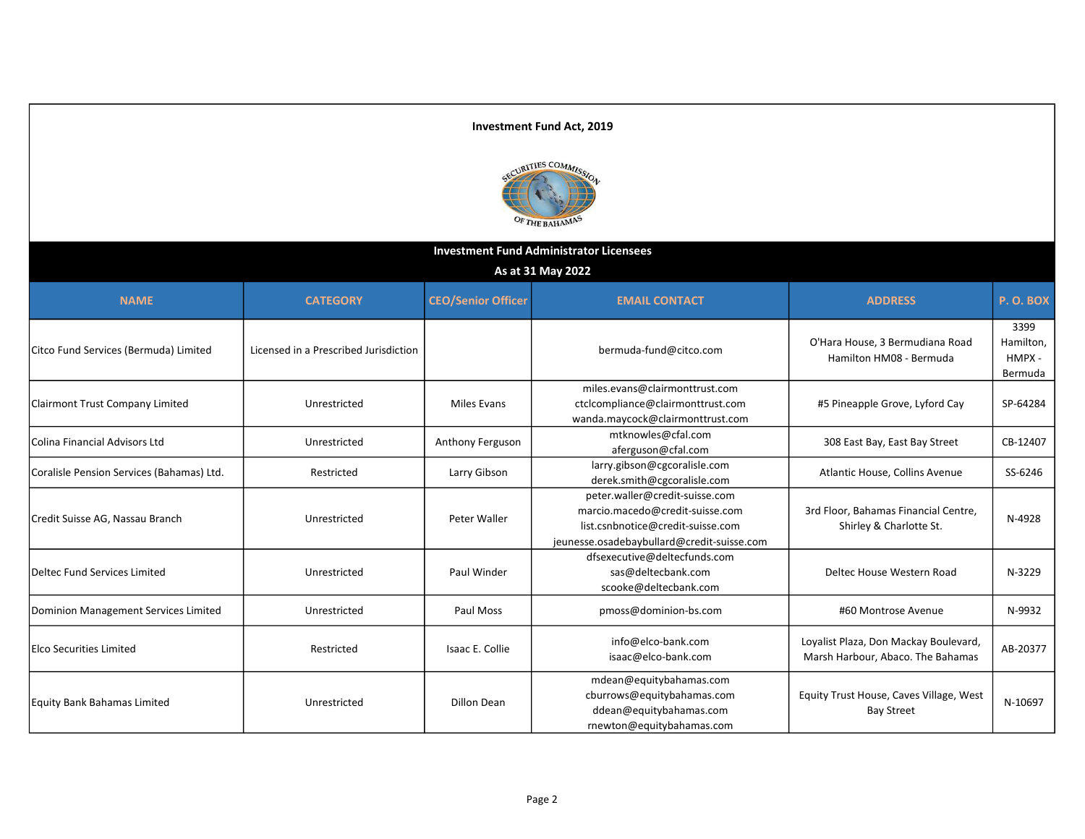#### Investment Fund Act, 2019 URITIES COMMISS OF THE BAHAMA Investment Fund Administrator Licensees As at 31 May 2022 NAME CATEGORY CEO/Senior Officer EMAIL CONTACT ADDRESS ADDRESS P.O. BOX 3399 Citco Fund Services (Bermuda) Limited Licensed in a Prescribed Jurisdiction | Citco Com | O'Hara House, 3 Bermudiana Road Hamilton, Hamilton HM08 - Bermuda HMPX - Bermuda miles.evans@clairmonttrust.com Clairmont Trust Company Limited **No. 1. Interventional Clairmont Trust Company Limited** Miles Evans ctclcompliance@clairmonttrust.com #5 Pineapple Grove, Lyford Cay | SP-64284 wanda.maycock@clairmonttrust.com Colina Financial Advisors Ltd **Colina Financial Advisors Ltd** Unrestricted Anthony Ferguson aferguson afterguson a<br>Colina Financial Advisors Ltd **Anthony Example 2006** 308 East Bay, East Bay Street CB-12407 Coralisle Pension Services (Bahamas) Ltd. Natural Restricted Restricted Larry Gibson larry.gibson@cgcoralisle.com<br>Coralisle derek.smith@cgcoralisle.com Atlantic House, Collins Avenue | SS-6246 peter.waller@credit-suisse.com marcio.macedo@credit-suisse.com 3rd Floor, Bahamas Financial Centre, Credit Suisse AG, Nassau Branch Theory Christen Christened Peter Waller Shirley & Charlotte St. N-4928 list.csnbnotice@credit-suisse.com jeunesse.osadebaybullard@credit-suisse.com dfsexecutive@deltecfunds.com Deltec Fund Services Limited Unrestricted Paul Winder sas@deltecbank.com Deltec House Western Road N-3229 scooke@deltecbank.com Dominion Management Services Limited Unrestricted Paul Moss pmoss@dominion-bs.com #60 Montrose Avenue N-9932 Loyalist Plaza, Don Mackay Boulevard, Elco Securities Limited **Elco Securities Limited** info@elco-bank.com Loyalist Fiaza, Dolf Mackay Boulevard, AB-20377<br>Marsh Harbour, Abaco. The Bahamas isaac@elco-bank.com mdean@equitybahamas.com cburrows@equitybahamas.com Equity Trust House, Caves Village, West Equity Bank Bahamas Limited **Noting the University Contracts** Christmas Dillon Dean N-10697 ddean@equitybahamas.com Bay Street rnewton@equitybahamas.com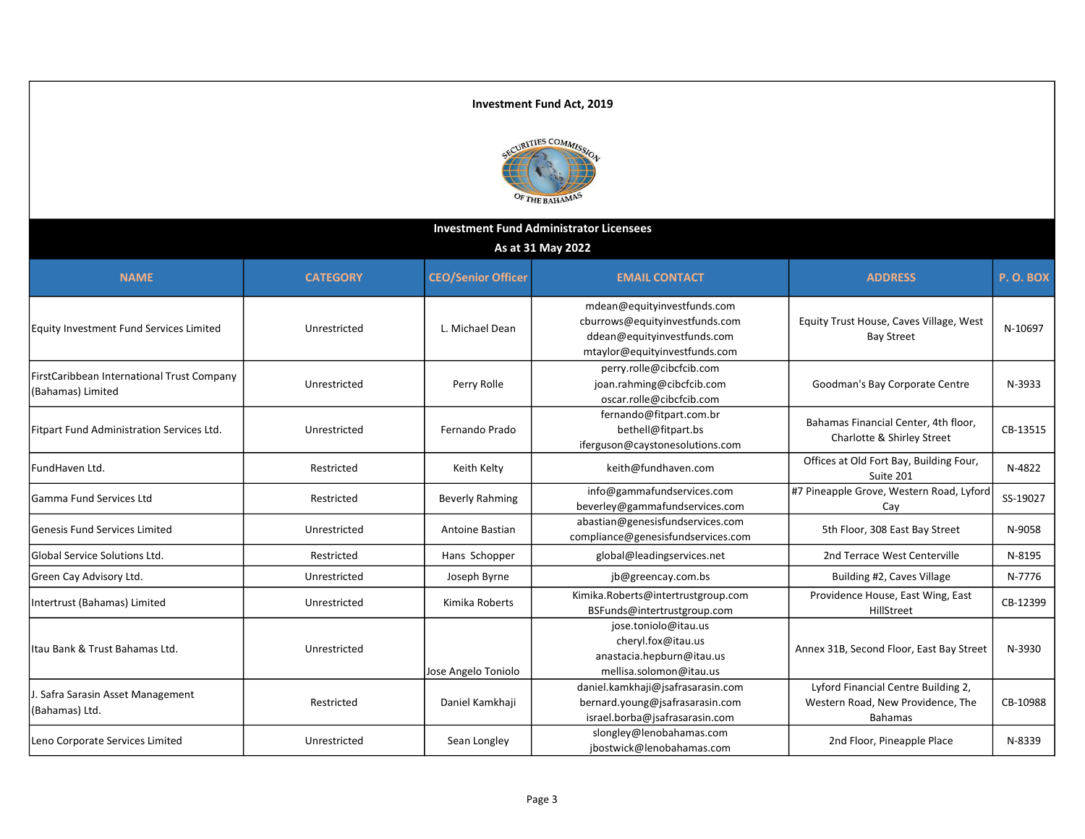

| <b>Investment Fund Administrator Licensees</b>                  |                 |                           |                                                                                                                               |                                                                                            |          |  |
|-----------------------------------------------------------------|-----------------|---------------------------|-------------------------------------------------------------------------------------------------------------------------------|--------------------------------------------------------------------------------------------|----------|--|
| As at 31 May 2022                                               |                 |                           |                                                                                                                               |                                                                                            |          |  |
| <b>NAME</b>                                                     | <b>CATEGORY</b> | <b>CEO/Senior Officer</b> | <b>EMAIL CONTACT</b>                                                                                                          | <b>ADDRESS</b>                                                                             | P.O.BOX  |  |
| Equity Investment Fund Services Limited                         | Unrestricted    | L. Michael Dean           | mdean@equityinvestfunds.com<br>cburrows@equityinvestfunds.com<br>ddean@equityinvestfunds.com<br>mtaylor@equityinvestfunds.com | Equity Trust House, Caves Village, West<br><b>Bay Street</b>                               | N-10697  |  |
| FirstCaribbean International Trust Company<br>(Bahamas) Limited | Unrestricted    | Perry Rolle               | perry.rolle@cibcfcib.com<br>joan.rahming@cibcfcib.com<br>oscar.rolle@cibcfcib.com                                             | Goodman's Bay Corporate Centre                                                             | N-3933   |  |
| Fitpart Fund Administration Services Ltd.                       | Unrestricted    | Fernando Prado            | fernando@fitpart.com.br<br>bethell@fitpart.bs<br>iferguson@caystonesolutions.com                                              | Bahamas Financial Center, 4th floor,<br>Charlotte & Shirley Street                         | CB-13515 |  |
| FundHaven Ltd.                                                  | Restricted      | Keith Kelty               | keith@fundhaven.com                                                                                                           | Offices at Old Fort Bay, Building Four,<br>Suite 201                                       | N-4822   |  |
| <b>Gamma Fund Services Ltd</b>                                  | Restricted      | <b>Beverly Rahming</b>    | info@gammafundservices.com<br>beverley@gammafundservices.com                                                                  | #7 Pineapple Grove, Western Road, Lyford<br>Cay                                            | SS-19027 |  |
| <b>Genesis Fund Services Limited</b>                            | Unrestricted    | Antoine Bastian           | abastian@genesisfundservices.com<br>compliance@genesisfundservices.com                                                        | 5th Floor, 308 East Bay Street                                                             | N-9058   |  |
| <b>Global Service Solutions Ltd.</b>                            | Restricted      | Hans Schopper             | global@leadingservices.net                                                                                                    | 2nd Terrace West Centerville                                                               | N-8195   |  |
| Green Cay Advisory Ltd.                                         | Unrestricted    | Joseph Byrne              | jb@greencay.com.bs                                                                                                            | Building #2, Caves Village                                                                 | N-7776   |  |
| Intertrust (Bahamas) Limited                                    | Unrestricted    | Kimika Roberts            | Kimika.Roberts@intertrustgroup.com<br>BSFunds@intertrustgroup.com                                                             | Providence House, East Wing, East<br>HillStreet                                            | CB-12399 |  |
| lItau Bank & Trust Bahamas Ltd.                                 | Unrestricted    | Jose Angelo Toniolo       | jose.toniolo@itau.us<br>cheryl.fox@itau.us<br>anastacia.hepburn@itau.us<br>mellisa.solomon@itau.us                            | Annex 31B, Second Floor, East Bay Street                                                   | N-3930   |  |
| J. Safra Sarasin Asset Management<br>(Bahamas) Ltd.             | Restricted      | Daniel Kamkhaji           | daniel.kamkhaji@jsafrasarasin.com<br>bernard.young@jsafrasarasin.com<br>israel.borba@jsafrasarasin.com                        | Lyford Financial Centre Building 2,<br>Western Road, New Providence, The<br><b>Bahamas</b> | CB-10988 |  |
| Leno Corporate Services Limited                                 | Unrestricted    | Sean Longley              | slongley@lenobahamas.com<br>jbostwick@lenobahamas.com                                                                         | 2nd Floor, Pineapple Place                                                                 | N-8339   |  |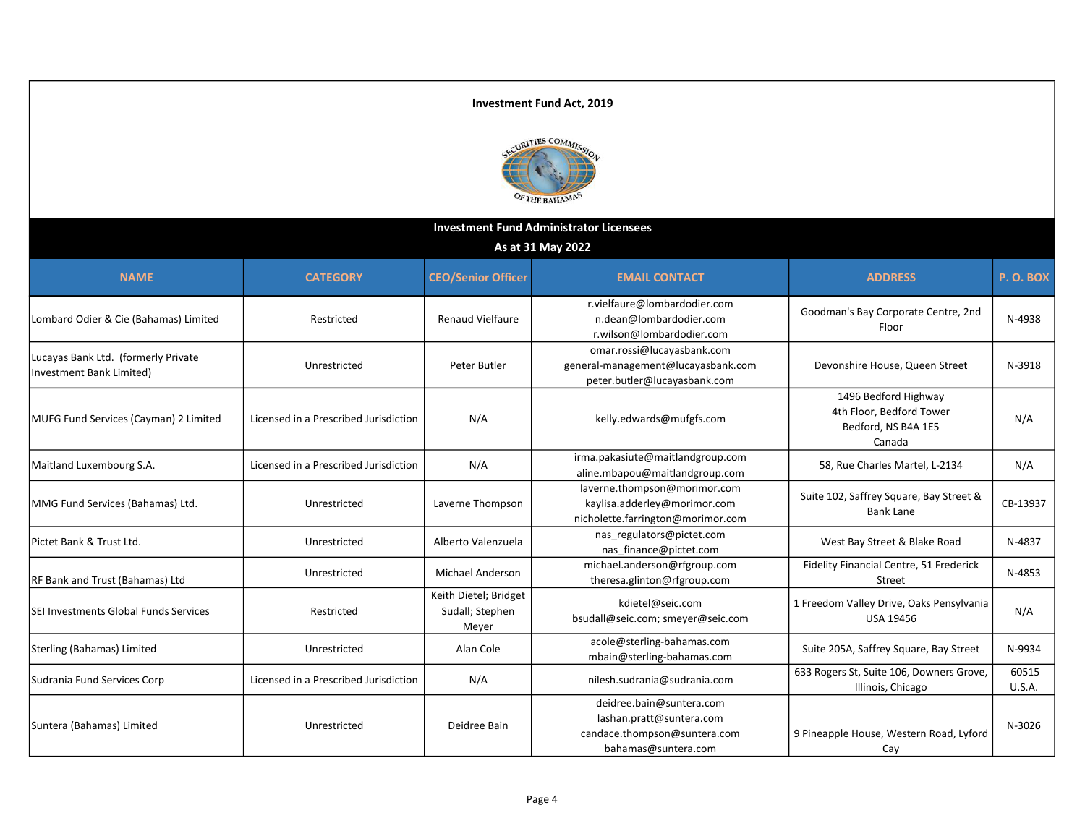

| <b>Investment Fund Administrator Licensees</b>                  |                                       |                                                   |                                                                                                             |                                                                                   |                        |  |
|-----------------------------------------------------------------|---------------------------------------|---------------------------------------------------|-------------------------------------------------------------------------------------------------------------|-----------------------------------------------------------------------------------|------------------------|--|
| As at 31 May 2022                                               |                                       |                                                   |                                                                                                             |                                                                                   |                        |  |
| <b>NAME</b>                                                     | <b>CATEGORY</b>                       | <b>CEO/Senior Officer</b>                         | <b>EMAIL CONTACT</b>                                                                                        | <b>ADDRESS</b>                                                                    | P.O.BOX                |  |
| Lombard Odier & Cie (Bahamas) Limited                           | Restricted                            | <b>Renaud Vielfaure</b>                           | r.vielfaure@lombardodier.com<br>n.dean@lombardodier.com<br>r.wilson@lombardodier.com                        | Goodman's Bay Corporate Centre, 2nd<br>Floor                                      | N-4938                 |  |
| Lucayas Bank Ltd. (formerly Private<br>Investment Bank Limited) | Unrestricted                          | Peter Butler                                      | omar.rossi@lucayasbank.com<br>general-management@lucayasbank.com<br>peter.butler@lucayasbank.com            | Devonshire House, Queen Street                                                    | N-3918                 |  |
| MUFG Fund Services (Cayman) 2 Limited                           | Licensed in a Prescribed Jurisdiction | N/A                                               | kelly.edwards@mufgfs.com                                                                                    | 1496 Bedford Highway<br>4th Floor, Bedford Tower<br>Bedford, NS B4A 1E5<br>Canada | N/A                    |  |
| Maitland Luxembourg S.A.                                        | Licensed in a Prescribed Jurisdiction | N/A                                               | irma.pakasiute@maitlandgroup.com<br>aline.mbapou@maitlandgroup.com                                          | 58, Rue Charles Martel, L-2134                                                    | N/A                    |  |
| MMG Fund Services (Bahamas) Ltd.                                | Unrestricted                          | Laverne Thompson                                  | laverne.thompson@morimor.com<br>kaylisa.adderley@morimor.com<br>nicholette.farrington@morimor.com           | Suite 102, Saffrey Square, Bay Street &<br><b>Bank Lane</b>                       | CB-13937               |  |
| Pictet Bank & Trust Ltd.                                        | Unrestricted                          | Alberto Valenzuela                                | nas regulators@pictet.com<br>nas finance@pictet.com                                                         | West Bay Street & Blake Road                                                      | N-4837                 |  |
| RF Bank and Trust (Bahamas) Ltd                                 | Unrestricted                          | <b>Michael Anderson</b>                           | michael.anderson@rfgroup.com<br>theresa.glinton@rfgroup.com                                                 | Fidelity Financial Centre, 51 Frederick<br>Street                                 | N-4853                 |  |
| SEI Investments Global Funds Services                           | Restricted                            | Keith Dietel; Bridget<br>Sudall; Stephen<br>Meyer | kdietel@seic.com<br>bsudall@seic.com; smeyer@seic.com                                                       | 1 Freedom Valley Drive, Oaks Pensylvania<br><b>USA 19456</b>                      | N/A                    |  |
| Sterling (Bahamas) Limited                                      | Unrestricted                          | Alan Cole                                         | acole@sterling-bahamas.com<br>mbain@sterling-bahamas.com                                                    | Suite 205A, Saffrey Square, Bay Street                                            | N-9934                 |  |
| Sudrania Fund Services Corp                                     | Licensed in a Prescribed Jurisdiction | N/A                                               | nilesh.sudrania@sudrania.com                                                                                | 633 Rogers St, Suite 106, Downers Grove,<br>Illinois, Chicago                     | 60515<br><b>U.S.A.</b> |  |
| Suntera (Bahamas) Limited                                       | Unrestricted                          | Deidree Bain                                      | deidree.bain@suntera.com<br>lashan.pratt@suntera.com<br>candace.thompson@suntera.com<br>bahamas@suntera.com | 9 Pineapple House, Western Road, Lyford<br>Cay                                    | N-3026                 |  |